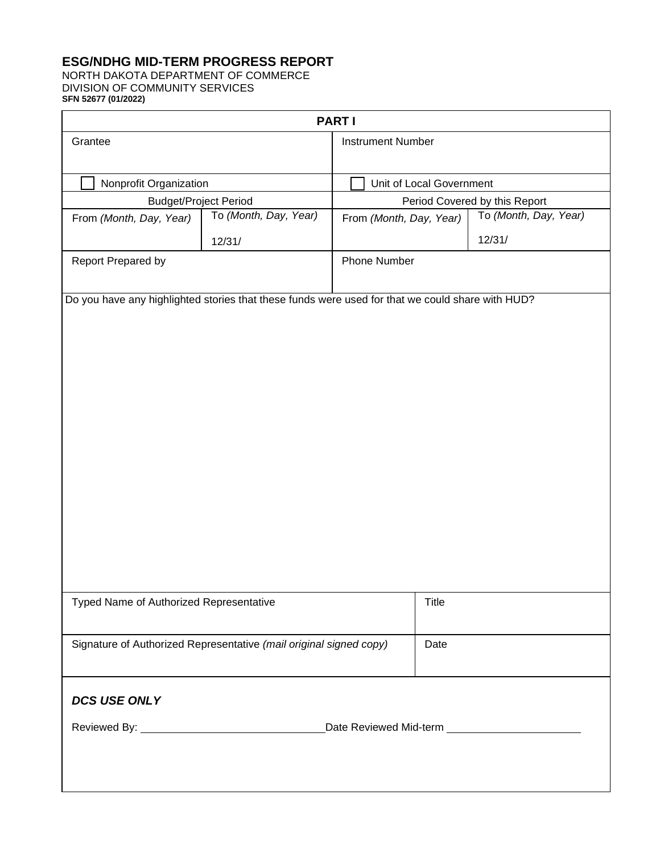# **ESG/NDHG MID-TERM PROGRESS REPORT**

NORTH DAKOTA DEPARTMENT OF COMMERCE DIVISION OF COMMUNITY SERVICES **SFN 52677 (01/2022)** 

 $\mathsf{r}$ 

|                                                                    |                       | <b>PARTI</b>             |                               |  |  |
|--------------------------------------------------------------------|-----------------------|--------------------------|-------------------------------|--|--|
| Grantee                                                            |                       | <b>Instrument Number</b> |                               |  |  |
| Nonprofit Organization                                             |                       | Unit of Local Government |                               |  |  |
| <b>Budget/Project Period</b>                                       |                       |                          | Period Covered by this Report |  |  |
| From (Month, Day, Year)                                            | To (Month, Day, Year) | From (Month, Day, Year)  | To (Month, Day, Year)         |  |  |
|                                                                    | 12/31/                |                          | 12/31/                        |  |  |
| Report Prepared by                                                 |                       | Phone Number             |                               |  |  |
|                                                                    |                       |                          |                               |  |  |
| Typed Name of Authorized Representative                            |                       | <b>Title</b>             |                               |  |  |
| Signature of Authorized Representative (mail original signed copy) |                       |                          | Date                          |  |  |
| <b>DCS USE ONLY</b>                                                |                       |                          |                               |  |  |
|                                                                    |                       |                          |                               |  |  |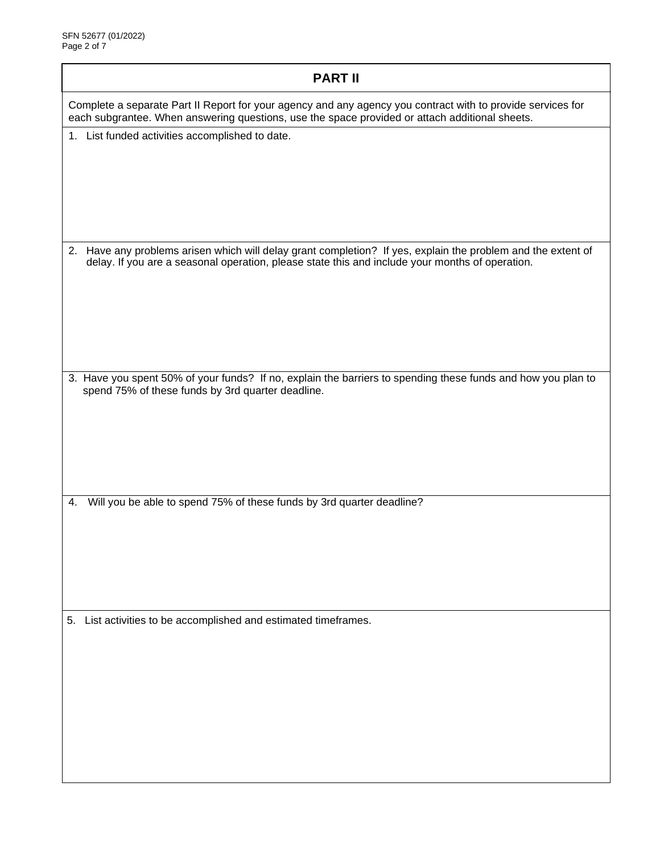| <b>PART II</b>                                                                                                                                                                                                  |  |  |  |  |
|-----------------------------------------------------------------------------------------------------------------------------------------------------------------------------------------------------------------|--|--|--|--|
| Complete a separate Part II Report for your agency and any agency you contract with to provide services for<br>each subgrantee. When answering questions, use the space provided or attach additional sheets.   |  |  |  |  |
| 1. List funded activities accomplished to date.                                                                                                                                                                 |  |  |  |  |
| 2. Have any problems arisen which will delay grant completion? If yes, explain the problem and the extent of<br>delay. If you are a seasonal operation, please state this and include your months of operation. |  |  |  |  |
| 3. Have you spent 50% of your funds? If no, explain the barriers to spending these funds and how you plan to<br>spend 75% of these funds by 3rd quarter deadline.                                               |  |  |  |  |
| Will you be able to spend 75% of these funds by 3rd quarter deadline?<br>4.                                                                                                                                     |  |  |  |  |
| 5. List activities to be accomplished and estimated timeframes.                                                                                                                                                 |  |  |  |  |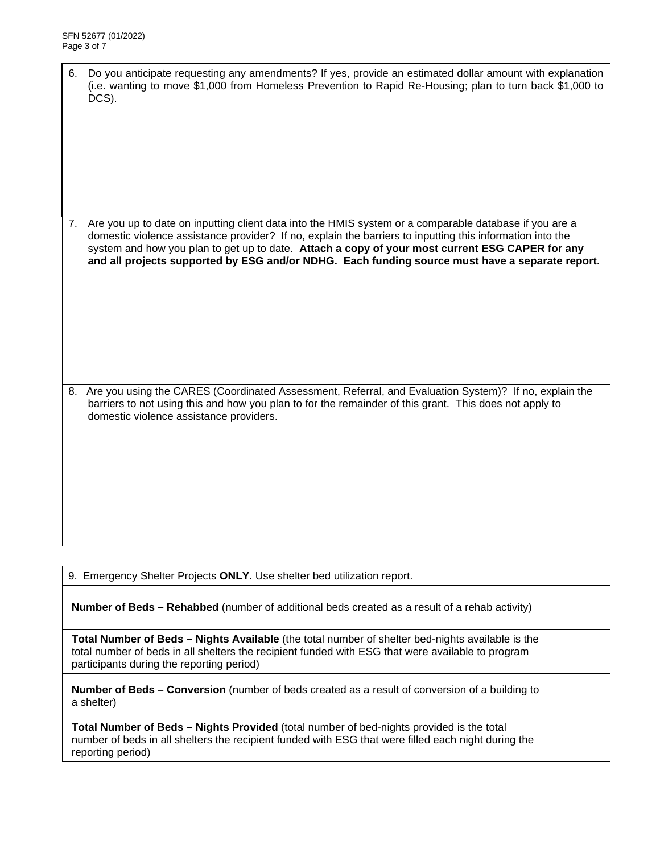| 6. Do you anticipate requesting any amendments? If yes, provide an estimated dollar amount with explanation |
|-------------------------------------------------------------------------------------------------------------|
| (i.e. wanting to move \$1,000 from Homeless Prevention to Rapid Re-Housing; plan to turn back \$1,000 to    |
| DCS).                                                                                                       |

7. Are you up to date on inputting client data into the HMIS system or a comparable database if you are a domestic violence assistance provider? If no, explain the barriers to inputting this information into the system and how you plan to get up to date. **Attach a copy of your most current ESG CAPER for any and all projects supported by ESG and/or NDHG. Each funding source must have a separate report.**

8. Are you using the CARES (Coordinated Assessment, Referral, and Evaluation System)? If no, explain the barriers to not using this and how you plan to for the remainder of this grant. This does not apply to domestic violence assistance providers.

**Number of Beds – Rehabbed** (number of additional beds created as a result of a rehab activity) **Total Number of Beds – Nights Available** (the total number of shelter bed-nights available is the total number of beds in all shelters the recipient funded with ESG that were available to program participants during the reporting period)

9. Emergency Shelter Projects **ONLY**. Use shelter bed utilization report.

**Number of Beds – Conversion** (number of beds created as a result of conversion of a building to a shelter)

**Total Number of Beds – Nights Provided** (total number of bed-nights provided is the total number of beds in all shelters the recipient funded with ESG that were filled each night during the reporting period)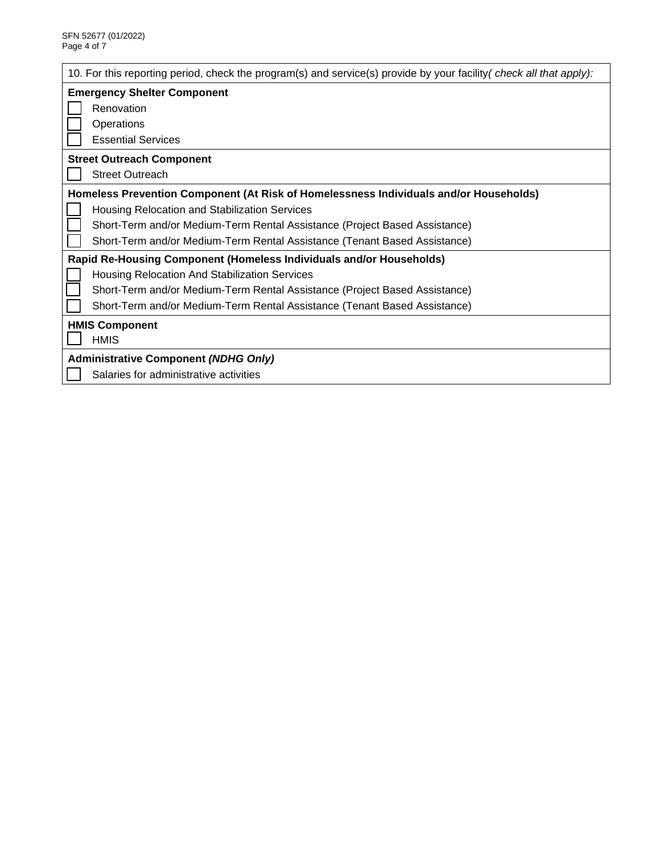| 10. For this reporting period, check the program(s) and service(s) provide by your facility (check all that apply): |  |  |  |  |  |
|---------------------------------------------------------------------------------------------------------------------|--|--|--|--|--|
| <b>Emergency Shelter Component</b>                                                                                  |  |  |  |  |  |
| Renovation                                                                                                          |  |  |  |  |  |
| Operations                                                                                                          |  |  |  |  |  |
| <b>Essential Services</b>                                                                                           |  |  |  |  |  |
| <b>Street Outreach Component</b>                                                                                    |  |  |  |  |  |
| <b>Street Outreach</b>                                                                                              |  |  |  |  |  |
| Homeless Prevention Component (At Risk of Homelessness Individuals and/or Households)                               |  |  |  |  |  |
| Housing Relocation and Stabilization Services                                                                       |  |  |  |  |  |
| Short-Term and/or Medium-Term Rental Assistance (Project Based Assistance)                                          |  |  |  |  |  |
| Short-Term and/or Medium-Term Rental Assistance (Tenant Based Assistance)                                           |  |  |  |  |  |
| <b>Rapid Re-Housing Component (Homeless Individuals and/or Households)</b>                                          |  |  |  |  |  |
| Housing Relocation And Stabilization Services                                                                       |  |  |  |  |  |
| Short-Term and/or Medium-Term Rental Assistance (Project Based Assistance)                                          |  |  |  |  |  |
| Short-Term and/or Medium-Term Rental Assistance (Tenant Based Assistance)                                           |  |  |  |  |  |
| <b>HMIS Component</b>                                                                                               |  |  |  |  |  |
| <b>HMIS</b>                                                                                                         |  |  |  |  |  |
| <b>Administrative Component (NDHG Only)</b>                                                                         |  |  |  |  |  |
| Salaries for administrative activities                                                                              |  |  |  |  |  |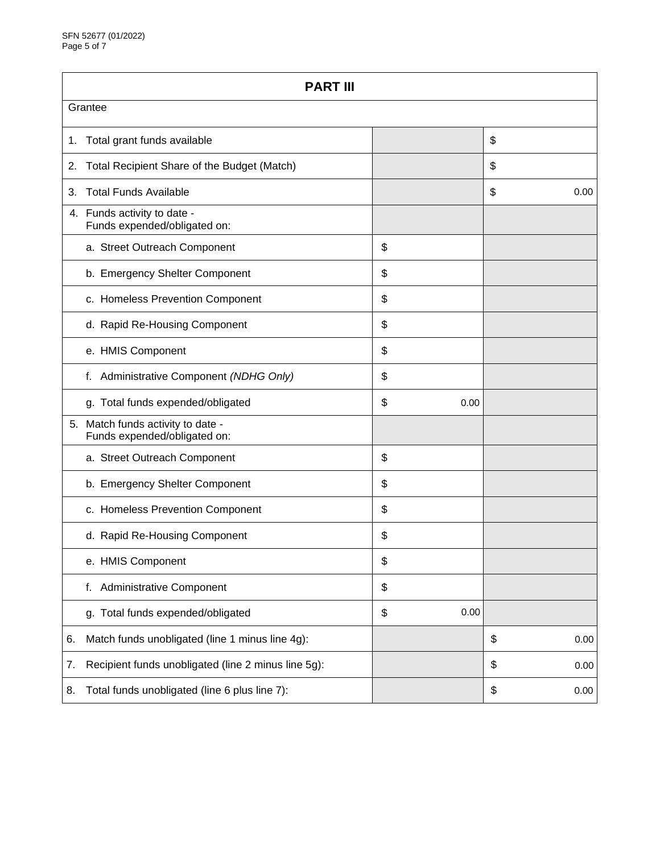| <b>PART III</b>                                   |                                                                   |    |      |    |      |  |  |
|---------------------------------------------------|-------------------------------------------------------------------|----|------|----|------|--|--|
| Grantee                                           |                                                                   |    |      |    |      |  |  |
| 1.                                                | Total grant funds available                                       |    |      | \$ |      |  |  |
| Total Recipient Share of the Budget (Match)<br>2. |                                                                   |    |      | \$ |      |  |  |
| 3.                                                | <b>Total Funds Available</b>                                      |    |      | \$ | 0.00 |  |  |
|                                                   | 4. Funds activity to date -<br>Funds expended/obligated on:       |    |      |    |      |  |  |
|                                                   | a. Street Outreach Component                                      | \$ |      |    |      |  |  |
|                                                   | b. Emergency Shelter Component                                    | \$ |      |    |      |  |  |
|                                                   | c. Homeless Prevention Component                                  | \$ |      |    |      |  |  |
|                                                   | d. Rapid Re-Housing Component                                     | \$ |      |    |      |  |  |
|                                                   | e. HMIS Component                                                 | \$ |      |    |      |  |  |
|                                                   | Administrative Component (NDHG Only)<br>f.                        | \$ |      |    |      |  |  |
|                                                   | g. Total funds expended/obligated                                 | \$ | 0.00 |    |      |  |  |
|                                                   | 5. Match funds activity to date -<br>Funds expended/obligated on: |    |      |    |      |  |  |
|                                                   | a. Street Outreach Component                                      | \$ |      |    |      |  |  |
|                                                   | b. Emergency Shelter Component                                    | \$ |      |    |      |  |  |
|                                                   | c. Homeless Prevention Component                                  | \$ |      |    |      |  |  |
|                                                   | d. Rapid Re-Housing Component                                     | \$ |      |    |      |  |  |
|                                                   | e. HMIS Component                                                 | \$ |      |    |      |  |  |
|                                                   | <b>Administrative Component</b><br>f.                             | \$ |      |    |      |  |  |
|                                                   | g. Total funds expended/obligated                                 | \$ | 0.00 |    |      |  |  |
| 6.                                                | Match funds unobligated (line 1 minus line 4g):                   |    |      | \$ | 0.00 |  |  |
| 7.                                                | Recipient funds unobligated (line 2 minus line 5g):               |    |      | \$ | 0.00 |  |  |
| 8.                                                | Total funds unobligated (line 6 plus line 7):                     |    |      | \$ | 0.00 |  |  |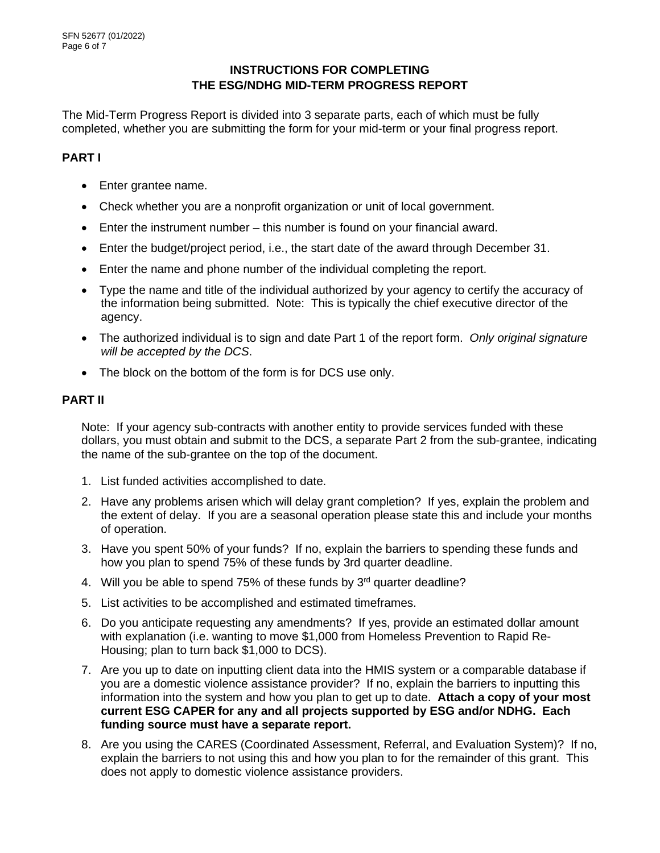### **INSTRUCTIONS FOR COMPLETING THE ESG/NDHG MID-TERM PROGRESS REPORT**

The Mid-Term Progress Report is divided into 3 separate parts, each of which must be fully completed, whether you are submitting the form for your mid-term or your final progress report.

### **PART I**

- Enter grantee name.
- Check whether you are a nonprofit organization or unit of local government.
- Enter the instrument number this number is found on your financial award.
- Enter the budget/project period, i.e., the start date of the award through December 31.
- Enter the name and phone number of the individual completing the report.
- Type the name and title of the individual authorized by your agency to certify the accuracy of the information being submitted. Note: This is typically the chief executive director of the agency.
- The authorized individual is to sign and date Part 1 of the report form. *Only original signature will be accepted by the DCS*.
- The block on the bottom of the form is for DCS use only.

#### **PART II**

Note: If your agency sub-contracts with another entity to provide services funded with these dollars, you must obtain and submit to the DCS, a separate Part 2 from the sub-grantee, indicating the name of the sub-grantee on the top of the document.

- 1. List funded activities accomplished to date.
- 2. Have any problems arisen which will delay grant completion? If yes, explain the problem and the extent of delay. If you are a seasonal operation please state this and include your months of operation.
- 3. Have you spent 50% of your funds? If no, explain the barriers to spending these funds and how you plan to spend 75% of these funds by 3rd quarter deadline.
- 4. Will you be able to spend 75% of these funds by  $3<sup>rd</sup>$  quarter deadline?
- 5. List activities to be accomplished and estimated timeframes.
- 6. Do you anticipate requesting any amendments? If yes, provide an estimated dollar amount with explanation (i.e. wanting to move \$1,000 from Homeless Prevention to Rapid Re-Housing; plan to turn back \$1,000 to DCS).
- 7. Are you up to date on inputting client data into the HMIS system or a comparable database if you are a domestic violence assistance provider? If no, explain the barriers to inputting this information into the system and how you plan to get up to date. **Attach a copy of your most current ESG CAPER for any and all projects supported by ESG and/or NDHG. Each funding source must have a separate report.**
- 8. Are you using the CARES (Coordinated Assessment, Referral, and Evaluation System)? If no, explain the barriers to not using this and how you plan to for the remainder of this grant. This does not apply to domestic violence assistance providers.